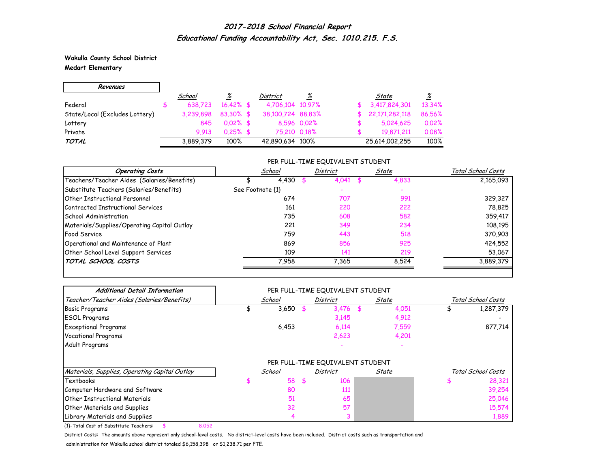**Wakulla County School District Medart Elementary**

| Revenues                       |           |              |                   |             |    |                |                 |
|--------------------------------|-----------|--------------|-------------------|-------------|----|----------------|-----------------|
|                                | School    | <u>%</u>     | <b>District</b>   | %           |    | State          | $\frac{\%}{\%}$ |
| Federal                        | 638.723   | $16.42\%$ \$ | 4,706,104 10,97%  |             |    | 3,417,824,301  | 13.34%          |
| State/Local (Excludes Lottery) | 3.239.898 | $83.30\%$ \$ | 38,100,724 88,83% |             | Æ. | 22,171,282,118 | 86.56%          |
| Lottery                        | 845       | $0.02\%$ \$  |                   | 8,596 0.02% |    | 5,024,625      | 0.02%           |
| Private                        | 9.913     | $0.25%$ \$   | 75.210 0.18%      |             |    | 19,871,211     | 0.08%           |
| TOTAL                          | 3,889,379 | 100%         | 42,890,634 100%   |             |    | 25,614,002,255 | 100%            |

#### PER FULL-TIME EQUIVALENT STUDENT

| <b>Operating Costs</b>                      | School           | District | State | Total School Costs |
|---------------------------------------------|------------------|----------|-------|--------------------|
| Teachers/Teacher Aides (Salaries/Benefits)  | 4,430            | 4,041    | 4,833 | 2,165,093          |
| Substitute Teachers (Salaries/Benefits)     | See Footnote {1} |          |       |                    |
| <b>Other Instructional Personnel</b>        | 674              | 707      | 991   | 329,327            |
| Contracted Instructional Services           | 161              | 220      | 222   | 78,825             |
| School Administration                       | 735              | 608      | 582   | 359,417            |
| Materials/Supplies/Operating Capital Outlay | 221              | 349      | 234   | 108,195            |
| <b>Food Service</b>                         | 759              | 443      | 518   | 370,903            |
| Operational and Maintenance of Plant        | 869              | 856      | 925   | 424,552            |
| Other School Level Support Services         | 109              | 141      | 219   | 53,067             |
| TOTAL SCHOOL COSTS                          | 7.958            | 7.365    | 8.524 | 3,889,379          |

| <b>Additional Detail Information</b>          |  |        |                                  |       |       |                    |                    |
|-----------------------------------------------|--|--------|----------------------------------|-------|-------|--------------------|--------------------|
| Teacher/Teacher Aides (Salaries/Benefits)     |  | School | District                         | State |       | Total School Costs |                    |
| <b>Basic Programs</b>                         |  | 3,650  | 3,476                            |       | 4,051 |                    | 1,287,379          |
| <b>ESOL Programs</b>                          |  |        | 3,145                            |       | 4,912 |                    |                    |
| <b>Exceptional Programs</b>                   |  | 6,453  | 6.114                            |       | 7,559 |                    | 877,714            |
| <b>Vocational Programs</b>                    |  |        | 2,623                            |       | 4,201 |                    |                    |
| Adult Programs                                |  |        |                                  |       |       |                    |                    |
|                                               |  |        | PER FULL-TIME EQUIVALENT STUDENT |       |       |                    |                    |
| Materials, Supplies, Operating Capital Outlay |  | School | District                         |       | State |                    | Total School Costs |
| Textbooks                                     |  | 58     | \$<br>106                        |       |       |                    | 28,321             |
| Computer Hardware and Software                |  | 80     | 111                              |       |       |                    | 39,254             |
| Other Instructional Materials                 |  | 51     | 65                               |       |       |                    | 25,046             |
| <b>Other Materials and Supplies</b>           |  | 32     | 57                               |       |       |                    | 15,574             |
| Library Materials and Supplies                |  |        |                                  |       |       |                    | 1,889              |

{1}-Total Cost of Substitute Teachers: \$ 8,052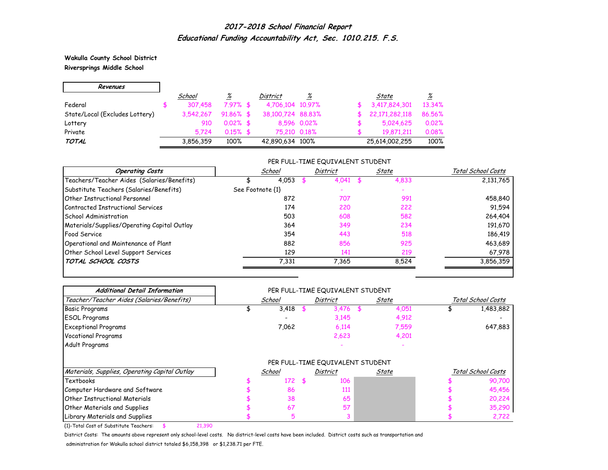**Wakulla County School District Riversprings Middle School**

| Revenues                       |           |              |                   |             |                |                          |
|--------------------------------|-----------|--------------|-------------------|-------------|----------------|--------------------------|
|                                | School    | %            | <b>District</b>   | %           | State          | $\frac{\%}{\frac{1}{2}}$ |
| Federal                        | 307,458   | $7.97%$ \$   | 4,706,104 10,97%  |             | 3,417,824,301  | 13,34%                   |
| State/Local (Excludes Lottery) | 3.542.267 | $91.86\%$ \$ | 38,100,724 88,83% |             | 22,171,282,118 | 86.56%                   |
| Lottery                        | 910       | $0.02\%$ \$  |                   | 8,596 0.02% | 5,024,625      | 0.02%                    |
| Private                        | 5.724     | $0.15\%$ \$  | 75,210 0.18%      |             | 19.871.211     | 0.08%                    |
| TOTAL                          | 3,856,359 | 100%         | 42,890,634 100%   |             | 25,614,002,255 | 100%                     |

#### PER FULL-TIME EQUIVALENT STUDENT

| <b>Operating Costs</b>                      | School           | District | State | Total School Costs |
|---------------------------------------------|------------------|----------|-------|--------------------|
| Teachers/Teacher Aides (Salaries/Benefits)  | 4,053            | 4,041    | 4,833 | 2,131,765          |
| Substitute Teachers (Salaries/Benefits)     | See Footnote {1} |          |       |                    |
| <b>Other Instructional Personnel</b>        | 872              | 707      | 991   | 458,840            |
| Contracted Instructional Services           | 174              | 220      | 222   | 91,594             |
| School Administration                       | 503              | 608      | 582   | 264,404            |
| Materials/Supplies/Operating Capital Outlay | 364              | 349      | 234   | 191,670            |
| <b>Food Service</b>                         | 354              | 443      | 518   | 186,419            |
| Operational and Maintenance of Plant        | 882              | 856      | 925   | 463,689            |
| Other School Level Support Services         | 129              | 141      | 219   | 67,978             |
| TOTAL SCHOOL COSTS                          | 7.331            | 7.365    | 8.524 | 3,856,359          |

| <b>Additional Detail Information</b>          |                                  |        |          |          |       |       |  |                    |
|-----------------------------------------------|----------------------------------|--------|----------|----------|-------|-------|--|--------------------|
| Teacher/Teacher Aides (Salaries/Benefits)     |                                  | School | District |          | State |       |  | Total School Costs |
| <b>Basic Programs</b>                         |                                  | 3,418  |          | 3,476    |       | 4,051 |  | 1,483,882          |
| <b>ESOL Programs</b>                          |                                  |        |          | 3,145    |       | 4,912 |  |                    |
| <b>Exceptional Programs</b>                   |                                  | 7,062  |          | 6,114    |       | 7,559 |  | 647,883            |
| <b>Vocational Programs</b>                    |                                  |        |          | 2,623    |       | 4,201 |  |                    |
| Adult Programs                                |                                  |        |          |          |       |       |  |                    |
|                                               | PER FULL-TIME EQUIVALENT STUDENT |        |          |          |       |       |  |                    |
| Materials, Supplies, Operating Capital Outlay |                                  | School |          | District |       | State |  | Total School Costs |
| <b>Textbooks</b>                              |                                  | 172    |          | 106      |       |       |  | 90,700             |
| Computer Hardware and Software                |                                  | 86     |          | 111      |       |       |  | 45,456             |
| <b>Other Instructional Materials</b>          |                                  | 38     |          | 65       |       |       |  | 20,224             |
| <b>Other Materials and Supplies</b>           |                                  | 67     |          | 57       |       |       |  | 35,290             |
| Library Materials and Supplies                |                                  | 5      |          |          |       |       |  | 2,722              |

{1}-Total Cost of Substitute Teachers: \$ 21,390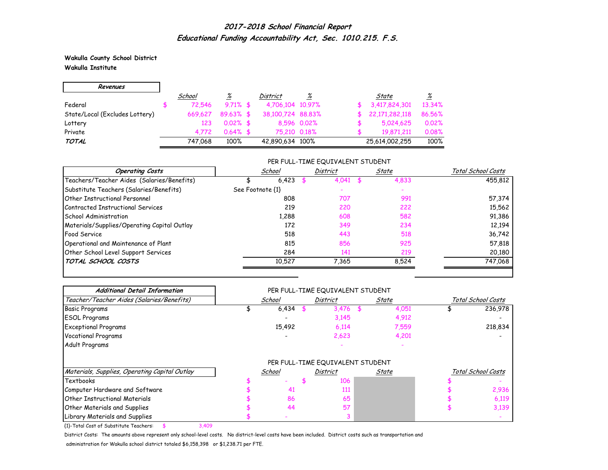**Wakulla County School District Wakulla Institute**

| Revenues                       |         |              |                   |             |                |                 |
|--------------------------------|---------|--------------|-------------------|-------------|----------------|-----------------|
|                                | School  | %            | <b>District</b>   | %           | State          | $\frac{\%}{\%}$ |
| Federal                        | 72.546  | $9.71\%$ \$  | 4,706,104 10,97%  |             | 3,417,824,301  | 13.34%          |
| State/Local (Excludes Lottery) | 669.627 | $89.63\%$ \$ | 38,100,724 88,83% |             | 22,171,282,118 | 86.56%          |
| Lottery                        | 123     | $0.02\%$ \$  |                   | 8,596 0.02% | 5,024,625      | 0.02%           |
| Private                        | 4.772   | $0.64\%$ \$  | 75,210 0.18%      |             | 19,871,211     | 0.08%           |
| TOTAL                          | 747.068 | 100%         | 42,890,634 100%   |             | 25,614,002,255 | 100%            |

### PER FULL-TIME EQUIVALENT STUDENT

| <b>Operating Costs</b>                      | School           | District | State | Total School Costs |
|---------------------------------------------|------------------|----------|-------|--------------------|
| Teachers/Teacher Aides (Salaries/Benefits)  | 6,423            | 4.041    | 4,833 | 455,812            |
| Substitute Teachers (Salaries/Benefits)     | See Footnote {1} |          |       |                    |
| <b>Other Instructional Personnel</b>        | 808              | 707      | 991   | 57,374             |
| Contracted Instructional Services           | 219              | 220      | 222   | 15,562             |
| School Administration                       | 1.288            | 608      | 582   | 91,386             |
| Materials/Supplies/Operating Capital Outlay | 172              | 349      | 234   | 12,194             |
| <b>Food Service</b>                         | 518              | 443      | 518   | 36,742             |
| Operational and Maintenance of Plant        | 815              | 856      | 925   | 57,818             |
| Other School Level Support Services         | 284              | 141      | 219   | 20,180             |
| TOTAL SCHOOL COSTS                          | 10.527           | 7.365    | 8.524 | 747,068            |

| <b>Additional Detail Information</b>          | PER FULL-TIME EQUIVALENT STUDENT |                                  |          |  |       |  |                    |  |  |  |
|-----------------------------------------------|----------------------------------|----------------------------------|----------|--|-------|--|--------------------|--|--|--|
| Teacher/Teacher Aides (Salaries/Benefits)     |                                  | School                           | District |  | State |  | Total School Costs |  |  |  |
| <b>Basic Programs</b>                         |                                  | 6,434                            | 3,476    |  | 4,051 |  | 236,978            |  |  |  |
| <b>ESOL Programs</b>                          |                                  |                                  | 3,145    |  | 4,912 |  |                    |  |  |  |
| <b>Exceptional Programs</b>                   |                                  | 15,492                           | 6,114    |  | 7,559 |  | 218,834            |  |  |  |
| <b>Vocational Programs</b>                    |                                  |                                  | 2,623    |  | 4,201 |  |                    |  |  |  |
| Adult Programs                                |                                  |                                  |          |  |       |  |                    |  |  |  |
|                                               |                                  | PER FULL-TIME EQUIVALENT STUDENT |          |  |       |  |                    |  |  |  |
| Materials, Supplies, Operating Capital Outlay |                                  | School                           | District |  | State |  | Total School Costs |  |  |  |
| <b>Textbooks</b>                              |                                  |                                  | 106      |  |       |  |                    |  |  |  |
| Computer Hardware and Software                |                                  | 41                               | 111      |  |       |  | 2,936              |  |  |  |
| <b>Other Instructional Materials</b>          |                                  | 86                               | 65       |  |       |  | 6,119              |  |  |  |
| <b>Other Materials and Supplies</b>           |                                  | 44                               | 57       |  |       |  | 3,139              |  |  |  |
| Library Materials and Supplies                |                                  |                                  |          |  |       |  |                    |  |  |  |

{1}-Total Cost of Substitute Teachers: \$ 3,409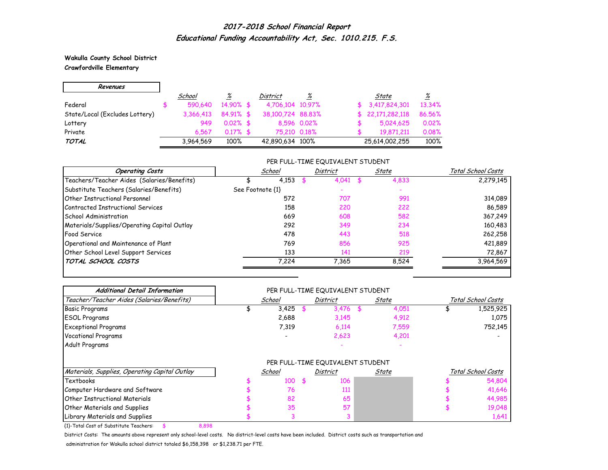**Wakulla County School District Crawfordville Elementary**

Е

| Revenues                       |           |              |                   |             |                  |          |
|--------------------------------|-----------|--------------|-------------------|-------------|------------------|----------|
|                                | School    | <u>%</u>     | <b>District</b>   | <u>%</u>    | State            | <u>%</u> |
| Federal                        | 590.640   | $14.90\%$ \$ | 4,706,104 10,97%  |             | \$3,417,824,301  | 13.34%   |
| State/Local (Excludes Lottery) | 3,366,413 | 84.91% \$    | 38,100,724 88,83% |             | \$22,171,282,118 | 86.56%   |
| Lottery                        | 949       | $0.02\%$ \$  |                   | 8,596 0.02% | 5,024,625        | 0.02%    |
| Private                        | 6.567     | $0.17\%$ \$  | 75,210 0.18%      |             | 19.871.211       | 0.08%    |
| TOTAL                          | 3,964,569 | 100%         | 42,890,634 100%   |             | 25,614,002,255   | 100%     |

### PER FULL-TIME EQUIVALENT STUDENT

| <b>Operating Costs</b>                      | School           |       | District | State | Total School Costs |
|---------------------------------------------|------------------|-------|----------|-------|--------------------|
| Teachers/Teacher Aides (Salaries/Benefits)  |                  | 4,153 | 4.041    | 4,833 | 2,279,145          |
| Substitute Teachers (Salaries/Benefits)     | See Footnote {1} |       |          |       |                    |
| <b>Other Instructional Personnel</b>        |                  | 572   | 707      | 991   | 314,089            |
| Contracted Instructional Services           |                  | 158   | 220      | 222   | 86,589             |
| <b>School Administration</b>                |                  | 669   | 608      | 582   | 367,249            |
| Materials/Supplies/Operating Capital Outlay |                  | 292   | 349      | 234   | 160,483            |
| Food Service                                |                  | 478   | 443      | 518   | 262,258            |
| Operational and Maintenance of Plant        |                  | 769   | 856      | 925   | 421,889            |
| Other School Level Support Services         |                  | 133   | 141      | 219   | 72,867             |
| TOTAL SCHOOL COSTS                          |                  | 7.224 | 7.365    | 8.524 | 3,964,569          |

| <b>Additional Detail Information</b>          |        |     | PER FULL-TIME EQUIVALENT STUDENT |       |       |                    |
|-----------------------------------------------|--------|-----|----------------------------------|-------|-------|--------------------|
| Teacher/Teacher Aides (Salaries/Benefits)     | School |     | <b>District</b>                  | State |       | Total School Costs |
| <b>Basic Programs</b>                         | 3,425  |     | 3,476                            | \$    | 4,051 | 1,525,925          |
| <b>ESOL Programs</b>                          | 2,688  |     | 3,145                            |       | 4,912 | 1,075              |
| <b>Exceptional Programs</b>                   | 7,319  |     | 6,114                            |       | 7,559 | 752,145            |
| <b>Vocational Programs</b>                    |        |     | 2,623                            |       | 4,201 |                    |
| Adult Programs                                |        |     |                                  |       |       |                    |
|                                               |        |     | PER FULL-TIME EQUIVALENT STUDENT |       |       |                    |
| Materials, Supplies, Operating Capital Outlay | School |     | District                         |       | State | Total School Costs |
| Textbooks                                     | 100    | \$. | 106                              |       |       | 54,804             |
| Computer Hardware and Software                | 76     |     | 111                              |       |       | 41,646             |
| Other Instructional Materials                 | 82     |     | 65                               |       |       | 44,985             |
| <b>Other Materials and Supplies</b>           | 35     |     | 57                               |       |       | 19,048             |
| Library Materials and Supplies                |        |     |                                  |       |       | 1,641              |

{1}-Total Cost of Substitute Teachers: \$ 8,898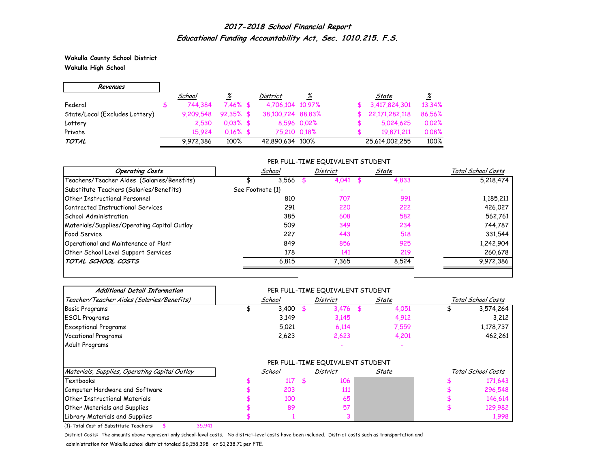**Wakulla County School District Wakulla High School**

| Revenues                       |           |              |                   |             |    |                |                 |
|--------------------------------|-----------|--------------|-------------------|-------------|----|----------------|-----------------|
|                                | School    | <u>%</u>     | <b>District</b>   | %           |    | State          | $\frac{\%}{\%}$ |
| Federal                        | 744.384   | $7.46\%$ \$  | 4,706,104 10,97%  |             |    | 3,417,824,301  | 13.34%          |
| State/Local (Excludes Lottery) | 9.209.548 | $92.35\%$ \$ | 38,100,724 88,83% |             | æ. | 22,171,282,118 | 86.56%          |
| Lottery                        | 2.530     | $0.03\%$ \$  |                   | 8,596 0.02% |    | 5,024,625      | 0.02%           |
| Private                        | 15.924    | $0.16\%$ \$  | 75.210 0.18%      |             |    | 19,871,211     | 0.08%           |
| TOTAL                          | 9,972,386 | 100%         | 42,890,634 100%   |             |    | 25,614,002,255 | 100%            |

### PER FULL-TIME EQUIVALENT STUDENT

| <b>Operating Costs</b>                      | School           | <b>District</b> | State | Total School Costs |
|---------------------------------------------|------------------|-----------------|-------|--------------------|
| Teachers/Teacher Aides (Salaries/Benefits)  | 3.566            |                 | 4,833 | 5,218,474          |
| Substitute Teachers (Salaries/Benefits)     | See Footnote {1} |                 |       |                    |
| <b>Other Instructional Personnel</b>        | 810              | 707             | 991   | 1,185,211          |
| Contracted Instructional Services           | 291              | 220             | 222   | 426,027            |
| School Administration                       | 385              | 608             | 582   | 562,761            |
| Materials/Supplies/Operating Capital Outlay | 509              | 349             | 234   | 744,787            |
| <b>Food Service</b>                         | 227              | 443             | 518   | 331,544            |
| Operational and Maintenance of Plant        | 849              | 856             | 925   | 1,242,904          |
| Other School Level Support Services         | 178              | 141             | 219   | 260,678            |
| TOTAL SCHOOL COSTS                          | 6,815            | 7.365           | 8.524 | 9,972,386          |

| <b>Additional Detail Information</b>          |        |  | PER FULL-TIME EQUIVALENT STUDENT |           |       |                    |                    |
|-----------------------------------------------|--------|--|----------------------------------|-----------|-------|--------------------|--------------------|
| Teacher/Teacher Aides (Salaries/Benefits)     | School |  | <b>District</b>                  | State     |       | Total School Costs |                    |
| <b>Basic Programs</b>                         | 3,400  |  | 3,476                            | <b>\$</b> | 4,051 |                    | 3,574,264          |
| <b>ESOL Programs</b>                          | 3,149  |  | 3,145                            |           | 4,912 |                    | 3,212              |
| <b>Exceptional Programs</b>                   | 5,021  |  | 6,114                            |           | 7,559 |                    | 1,178,737          |
| <b>Vocational Programs</b>                    | 2,623  |  | 2,623                            |           | 4,201 |                    | 462,261            |
| Adult Programs                                |        |  |                                  |           |       |                    |                    |
|                                               |        |  | PER FULL-TIME EQUIVALENT STUDENT |           |       |                    |                    |
| Materials, Supplies, Operating Capital Outlay | School |  | District                         |           | State |                    | Total School Costs |
| Textbooks                                     | 117    |  | 106                              |           |       |                    | 171,643            |
| Computer Hardware and Software                | 203    |  | 111                              |           |       |                    | 296,548            |
| <b>Other Instructional Materials</b>          | 100    |  | 65                               |           |       |                    | 146,614            |
| <b>Other Materials and Supplies</b>           | 89     |  | 57                               |           |       |                    | 129,982            |
| Library Materials and Supplies                |        |  |                                  |           |       |                    | 1,998              |

{1}-Total Cost of Substitute Teachers: \$ 35,941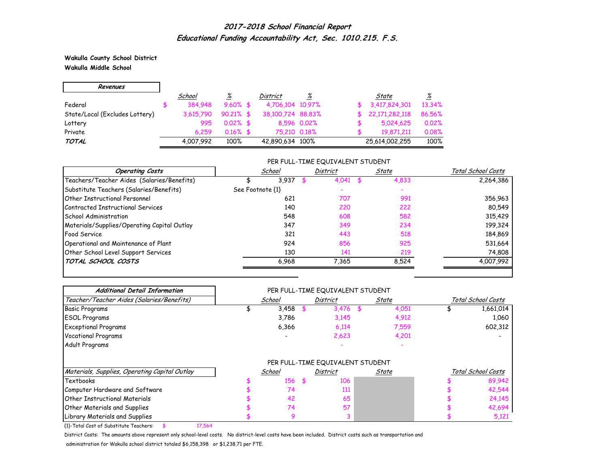**Wakulla County School District Wakulla Middle School**

| Revenues                       |           |              |                   |             |                |          |
|--------------------------------|-----------|--------------|-------------------|-------------|----------------|----------|
|                                | School    | <u>%</u>     | District          | %           | State          | <u>%</u> |
| Federal                        | 384,948   | $9.60\%$ \$  | 4,706,104 10,97%  |             | 3,417,824,301  | 13.34%   |
| State/Local (Excludes Lottery) | 3.615.790 | $90.21\%$ \$ | 38,100,724 88,83% |             | 22,171,282,118 | 86.56%   |
| Lottery                        | 995       | $0.02\%$ \$  |                   | 8,596 0.02% | 5,024,625      | 0.02%    |
| Private                        | 6.259     | $0.16\%$ \$  | 75,210 0.18%      |             | 19.871.211     | 0.08%    |
| TOTAL                          | 4,007,992 | 100%         | 42,890,634 100%   |             | 25,614,002,255 | 100%     |

### PER FULL-TIME EQUIVALENT STUDENT

| <b>Operating Costs</b>                      | School           | <b>District</b> | State | Total School Costs |
|---------------------------------------------|------------------|-----------------|-------|--------------------|
| Teachers/Teacher Aides (Salaries/Benefits)  | 3.937            |                 | 4,833 | 2,264,386          |
| Substitute Teachers (Salaries/Benefits)     | See Footnote {1} |                 |       |                    |
| <b>Other Instructional Personnel</b>        | 621              | 707             | 991   | 356,963            |
| Contracted Instructional Services           | 140              | 220             | 222   | 80,549             |
| School Administration                       | 548              | 608             | 582   | 315,429            |
| Materials/Supplies/Operating Capital Outlay | 347              | 349             | 234   | 199,324            |
| <b>Food Service</b>                         | 321              | 443             | 518   | 184,869            |
| Operational and Maintenance of Plant        | 924              | 856             | 925   | 531,664            |
| Other School Level Support Services         | 130              | 141             | 219   | 74,808             |
| TOTAL SCHOOL COSTS                          | 6.968            | 7.365           | 8.524 | 4,007,992          |

| <b>Additional Detail Information</b>          | PER FULL-TIME EQUIVALENT STUDENT |        |  |                                  |       |       |                    |                    |  |  |
|-----------------------------------------------|----------------------------------|--------|--|----------------------------------|-------|-------|--------------------|--------------------|--|--|
| Teacher/Teacher Aides (Salaries/Benefits)     |                                  | School |  | District                         | State |       | Total School Costs |                    |  |  |
| <b>Basic Programs</b>                         |                                  | 3,458  |  | 3,476                            | - \$  | 4,051 |                    | 1,661,014          |  |  |
| <b>ESOL Programs</b>                          |                                  | 3,786  |  | 3,145                            |       | 4,912 |                    | 1,060              |  |  |
| <b>Exceptional Programs</b>                   |                                  | 6,366  |  | 6,114                            |       | 7,559 |                    | 602,312            |  |  |
| <b>Vocational Programs</b>                    |                                  |        |  | 2,623                            |       | 4,201 |                    |                    |  |  |
| Adult Programs                                |                                  |        |  |                                  |       |       |                    |                    |  |  |
|                                               |                                  |        |  | PER FULL-TIME EQUIVALENT STUDENT |       |       |                    |                    |  |  |
| Materials, Supplies, Operating Capital Outlay |                                  | School |  | District                         |       | State |                    | Total School Costs |  |  |
| Textbooks                                     |                                  | 156    |  | 106                              |       |       |                    | 89,942             |  |  |
| Computer Hardware and Software                |                                  | 74     |  | 111                              |       |       |                    | 42,544             |  |  |
| <b>Other Instructional Materials</b>          |                                  | 42     |  | 65                               |       |       |                    | 24,145             |  |  |
| <b>Other Materials and Supplies</b>           |                                  | 74     |  | 57                               |       |       |                    | 42,694             |  |  |
| Library Materials and Supplies                |                                  | 9      |  |                                  |       |       |                    | 5,121              |  |  |

{1}-Total Cost of Substitute Teachers: \$ 17,564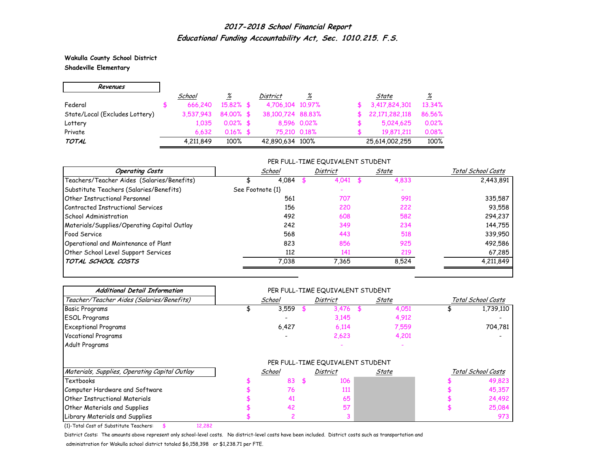**Wakulla County School District Shadeville Elementary**

| Revenues                       |           |              |                   |             |                |          |
|--------------------------------|-----------|--------------|-------------------|-------------|----------------|----------|
|                                | School    | <u>%</u>     | <b>District</b>   | %           | State          | <u>%</u> |
| Federal                        | 666,240   | $15.82\%$ \$ | 4,706,104 10,97%  |             | 3,417,824,301  | 13.34%   |
| State/Local (Excludes Lottery) | 3.537.943 | 84.00% \$    | 38,100,724 88,83% |             | 22,171,282,118 | 86.56%   |
| Lottery                        | 1.035     | $0.02\%$ \$  |                   | 8,596 0.02% | 5,024,625      | 0.02%    |
| Private                        | 6.632     | $0.16\%$ \$  | 75.210 0.18%      |             | 19,871,211     | 0.08%    |
| TOTAL                          | 4,211,849 | 100%         | 42,890,634 100%   |             | 25,614,002,255 | 100%     |

#### PER FULL-TIME EQUIVALENT STUDENT

| <b>Operating Costs</b>                      | School           | District | State | Total School Costs |
|---------------------------------------------|------------------|----------|-------|--------------------|
| Teachers/Teacher Aides (Salaries/Benefits)  | 4.084            | 4.041    | 4,833 | 2,443,891          |
| Substitute Teachers (Salaries/Benefits)     | See Footnote {1} |          |       |                    |
| <b>Other Instructional Personnel</b>        | 561              | 707      | 991   | 335,587            |
| Contracted Instructional Services           | 156              | 220      | 222   | 93,558             |
| School Administration                       | 492              | 608      | 582   | 294,237            |
| Materials/Supplies/Operating Capital Outlay | 242              | 349      | 234   | 144,755            |
| <b>Food Service</b>                         | 568              | 443      | 518   | 339,950            |
| Operational and Maintenance of Plant        | 823              | 856      | 925   | 492,586            |
| Other School Level Support Services         | 112              | 141      | 219   | 67,285             |
| TOTAL SCHOOL COSTS                          | 7.038            | 7.365    | 8.524 | 4,211,849          |

| <b>Additional Detail Information</b>          | PER FULL-TIME EQUIVALENT STUDENT |        |          |                                  |       |       |                    |                    |  |  |
|-----------------------------------------------|----------------------------------|--------|----------|----------------------------------|-------|-------|--------------------|--------------------|--|--|
| Teacher/Teacher Aides (Salaries/Benefits)     |                                  | School | District |                                  | State |       | Total School Costs |                    |  |  |
| <b>Basic Programs</b>                         |                                  | 3,559  |          | 3,476                            |       | 4,051 |                    | 1,739,110          |  |  |
| <b>ESOL Programs</b>                          |                                  |        |          | 3,145                            |       | 4,912 |                    |                    |  |  |
| <b>Exceptional Programs</b>                   |                                  | 6,427  |          | 6,114                            |       | 7,559 |                    | 704,781            |  |  |
| <b>Vocational Programs</b>                    |                                  |        |          | 2,623                            |       | 4,201 |                    |                    |  |  |
| Adult Programs                                |                                  |        |          |                                  |       |       |                    |                    |  |  |
|                                               |                                  |        |          | PER FULL-TIME EQUIVALENT STUDENT |       |       |                    |                    |  |  |
| Materials, Supplies, Operating Capital Outlay |                                  | School |          | District                         |       | State |                    | Total School Costs |  |  |
| <b>Textbooks</b>                              |                                  | 83     |          | 106                              |       |       |                    | 49,823             |  |  |
| Computer Hardware and Software                |                                  | 76     |          | 111                              |       |       |                    | 45,357             |  |  |
| <b>Other Instructional Materials</b>          |                                  | 41     |          | 65                               |       |       |                    | 24,492             |  |  |
| <b>Other Materials and Supplies</b>           |                                  | 42     |          | 57                               |       |       |                    | 25,084             |  |  |
| Library Materials and Supplies                |                                  |        |          |                                  |       |       |                    | 973                |  |  |

{1}-Total Cost of Substitute Teachers: \$ 12,282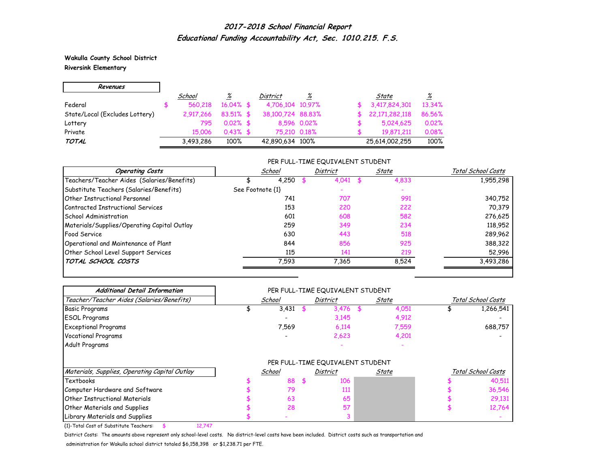**Wakulla County School District Riversink Elementary**

| Revenues                       |           |              |                   |             |                |                 |
|--------------------------------|-----------|--------------|-------------------|-------------|----------------|-----------------|
|                                | School    | <u>%</u>     | <b>District</b>   | %           | State          | $\frac{\%}{\%}$ |
| Federal                        | 560,218   | $16.04\%$ \$ | 4,706,104 10,97%  |             | 3,417,824,301  | 13.34%          |
| State/Local (Excludes Lottery) | 2.917.266 | $83.51\%$ \$ | 38,100,724 88,83% |             | 22,171,282,118 | 86.56%          |
| Lottery                        | 795       | $0.02\%$ \$  |                   | 8,596 0.02% | 5,024,625      | 0.02%           |
| Private                        | 15 006    | $0.43\%$ \$  | 75.210 0.18%      |             | 19.871.211     | 0.08%           |
| TOTAL                          | 3,493,286 | 100%         | 42,890,634 100%   |             | 25,614,002,255 | 100%            |

### PER FULL-TIME EQUIVALENT STUDENT

| <b>Operating Costs</b>                      | School           |       | District | State | Total School Costs |
|---------------------------------------------|------------------|-------|----------|-------|--------------------|
| Teachers/Teacher Aides (Salaries/Benefits)  |                  | 4,250 | 4,041    | 4,833 | 1,955,298          |
| Substitute Teachers (Salaries/Benefits)     | See Footnote {1} |       |          |       |                    |
| <b>Other Instructional Personnel</b>        |                  | 741   | 707      | 991   | 340,752            |
| Contracted Instructional Services           |                  | 153   | 220      | 222   | 70,379             |
| School Administration                       |                  | 601   | 608      | 582   | 276,625            |
| Materials/Supplies/Operating Capital Outlay |                  | 259   | 349      | 234   | 118,952            |
| <b>Food Service</b>                         |                  | 630   | 443      | 518   | 289,962            |
| Operational and Maintenance of Plant        |                  | 844   | 856      | 925   | 388,322            |
| Other School Level Support Services         |                  | 115   | 141      | 219   | 52,996             |
| TOTAL SCHOOL COSTS                          |                  | 7,593 | 7.365    | 8.524 | 3,493,286          |

| <b>Additional Detail Information</b>          | PER FULL-TIME EQUIVALENT STUDENT |        |  |                                  |    |       |                    |                    |  |  |
|-----------------------------------------------|----------------------------------|--------|--|----------------------------------|----|-------|--------------------|--------------------|--|--|
| Teacher/Teacher Aides (Salaries/Benefits)     |                                  | School |  | District                         |    | State | Total School Costs |                    |  |  |
| <b>Basic Programs</b>                         |                                  | 3,431  |  | 3,476                            | \$ | 4,051 |                    | 1,266,541          |  |  |
| <b>ESOL Programs</b>                          |                                  |        |  | 3,145                            |    | 4,912 |                    |                    |  |  |
| <b>Exceptional Programs</b>                   |                                  | 7,569  |  | 6,114                            |    | 7,559 |                    | 688,757            |  |  |
| <b>Vocational Programs</b>                    |                                  |        |  | 2,623                            |    | 4,201 |                    |                    |  |  |
| Adult Programs                                |                                  |        |  |                                  |    |       |                    |                    |  |  |
|                                               |                                  |        |  | PER FULL-TIME EQUIVALENT STUDENT |    |       |                    |                    |  |  |
| Materials, Supplies, Operating Capital Outlay |                                  | School |  | District                         |    | State |                    | Total School Costs |  |  |
| Textbooks                                     |                                  | 88     |  | 106                              |    |       |                    | 40,511             |  |  |
| Computer Hardware and Software                |                                  | 79     |  | 111                              |    |       |                    | 36,546             |  |  |
| <b>Other Instructional Materials</b>          |                                  | 63     |  | 65                               |    |       |                    | 29,131             |  |  |
| <b>Other Materials and Supplies</b>           |                                  | 28     |  | 57                               |    |       |                    | 12,764             |  |  |
| Library Materials and Supplies                |                                  |        |  |                                  |    |       |                    |                    |  |  |

{1}-Total Cost of Substitute Teachers: \$ 12,747